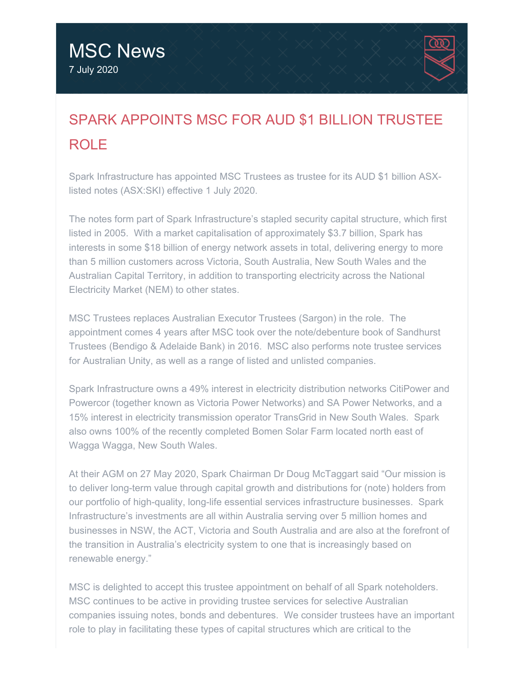

# SPARK APPOINTS MSC FOR AUD \$1 BILLION TRUSTEE ROLE

Spark Infrastructure has appointed MSC Trustees as trustee for its AUD \$1 billion ASXlisted notes (ASX:SKI) effective 1 July 2020.

The notes form part of Spark Infrastructure's stapled security capital structure, which first listed in 2005. With a market capitalisation of approximately \$3.7 billion, Spark has interests in some \$18 billion of energy network assets in total, delivering energy to more than 5 million customers across Victoria, South Australia, New South Wales and the Australian Capital Territory, in addition to transporting electricity across the National Electricity Market (NEM) to other states.

MSC Trustees replaces Australian Executor Trustees (Sargon) in the role. The appointment comes 4 years after MSC took over the note/debenture book of Sandhurst Trustees (Bendigo & Adelaide Bank) in 2016. MSC also performs note trustee services for Australian Unity, as well as a range of listed and unlisted companies.

Spark Infrastructure owns a 49% interest in electricity distribution networks CitiPower and Powercor (together known as Victoria Power Networks) and SA Power Networks, and a 15% interest in electricity transmission operator TransGrid in New South Wales. Spark also owns 100% of the recently completed Bomen Solar Farm located north east of Wagga Wagga, New South Wales.

At their AGM on 27 May 2020, Spark Chairman Dr Doug McTaggart said "Our mission is to deliver long-term value through capital growth and distributions for (note) holders from our portfolio of high-quality, long-life essential services infrastructure businesses. Spark Infrastructure's investments are all within Australia serving over 5 million homes and businesses in NSW, the ACT, Victoria and South Australia and are also at the forefront of the transition in Australia's electricity system to one that is increasingly based on renewable energy."

MSC is delighted to accept this trustee appointment on behalf of all Spark noteholders. MSC continues to be active in providing trustee services for selective Australian companies issuing notes, bonds and debentures. We consider trustees have an important role to play in facilitating these types of capital structures which are critical to the